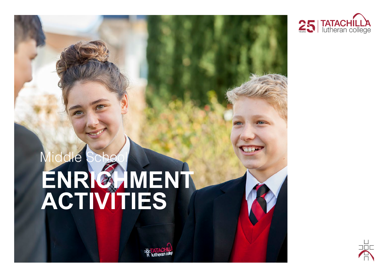

# Middle School **ENRICHMENT ACTIVITIES**

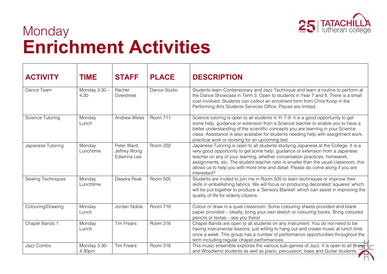

### **Monday Enrichment Activities**

| <b>ACTIVITY</b>   | <b>TIME</b>             | <b>STAFF</b>                               | <b>PLACE</b>    | <b>DESCRIPTION</b>                                                                                                                                                                                                                                                                                                                                                                                                                             |
|-------------------|-------------------------|--------------------------------------------|-----------------|------------------------------------------------------------------------------------------------------------------------------------------------------------------------------------------------------------------------------------------------------------------------------------------------------------------------------------------------------------------------------------------------------------------------------------------------|
| Dance Team        | Monday $3.30 -$<br>4.30 | Rachel<br>Overstreet                       | Dance Studio    | Students learn Contemporary and Jazz Technique and learn a routine to perform at<br>the Dance Showcase in Term 3. Open to students in Year 7 and 8. There is a small<br>cost involved. Students can collect an enrolment form from Chris Koop in the<br>Performing Arts Students Services Office. Places are limited.                                                                                                                          |
| Science Tutoring  | Monday<br>Lunch         | Andrew Weiss                               | <b>Room 711</b> | Science tutoring is open to all students in Yr 7-9. It is a good opportunity to get<br>some help, guidance or extension from a Science teacher to enable you to have a<br>better understanding of the scientific concepts you are learning in your Science<br>class. Assistance is also available for students needing help with assignment work,<br>practical work or revising for an upcoming test.                                          |
| Japanese Tutoring | Monday<br>Lunchtime     | Peter Ward,<br>Jeffrey Wong<br>Edwinna Lee | <b>Room 202</b> | Japanese Tutoring is open to all students studying Japanese at the College. It is a<br>very good opportunity to get some help, guidance or extension from a Japanese<br>teacher on any of your learning, whether conversation practices, homework,<br>assignments, etc. The student:teacher ratio is smaller than the usual classroom, this<br>allows us to help you with more time and detail. Please do come along if you are<br>interested? |
| Sewing Techniques | Monday<br>Lunchtime     | Deadra Peak                                | <b>Room 505</b> | Students are invited to join me in Room 505 to learn techniques or improve their<br>skills in embellishing fabrics. We will focus on producing decorated 'squares' which<br>will be put together to produce a 'Sensory Blanket' which can assist in improving the<br>quality of life for elderly citizens.                                                                                                                                     |
| Colouring/Drawing | Monday<br>Lunch         | Jordan Noble                               | Room 718        | Colour or draw in a quiet classroom. Some colouring sheets provided and blank<br>paper provided – ideally, bring your own sketch or colouring books. Bring coloured<br>pencils or textas - see you there!                                                                                                                                                                                                                                      |
| Chapel Bands 1    | Monday<br>Lunch         | <b>Tim Frears</b>                          | <b>Room 316</b> | Chapel Bands are open to all students on any instrument. You do not need to be<br>having instrumental lessons, just willing to hang out and create music at lunch time<br>once a week. This group has a number of performance opportunities throughout the<br>term including regular chapel performances.                                                                                                                                      |
| Jazz Combo        | Monday 3.30-<br>4.30pm  | <b>Tim Frears</b>                          | <b>Room 316</b> | This music ensemble explores the various sub-genres of Jazz. It is open to all Brase<br>and Woodwind students as well as piano, percussion, bass and Guitar students.                                                                                                                                                                                                                                                                          |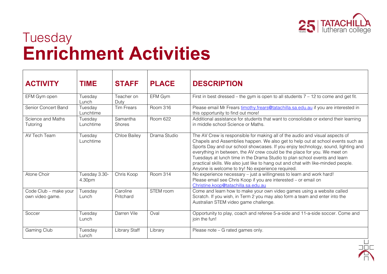

### Tuesday **Enrichment Activities**

| <b>ACTIVITY</b>                          | TIME                    | <b>STAFF</b>          | <b>PLACE</b>    | <b>DESCRIPTION</b>                                                                                                                                                                                                                                                                                                                                                                                                                                                                                                                                        |
|------------------------------------------|-------------------------|-----------------------|-----------------|-----------------------------------------------------------------------------------------------------------------------------------------------------------------------------------------------------------------------------------------------------------------------------------------------------------------------------------------------------------------------------------------------------------------------------------------------------------------------------------------------------------------------------------------------------------|
| EFM Gym open                             | Tuesday<br>Lunch        | Teacher on<br>Duty    | EFM Gym         | First in best dressed – the gym is open to all students $7 - 12$ to come and get fit.                                                                                                                                                                                                                                                                                                                                                                                                                                                                     |
| Senior Concert Band                      | Tuesday<br>Lunchtime    | <b>Tim Frears</b>     | <b>Room 316</b> | Please email Mr Frears timothy.frears@tatachilla.sa.edu.au if you are interested in<br>this opportunity to find out more!                                                                                                                                                                                                                                                                                                                                                                                                                                 |
| Science and Maths<br>Tutoring            | Tuesday<br>Lunchtime    | Samantha<br>Shores    | Room 622        | Additional assistance for students that want to consolidate or extend their learning<br>in middle school Science or Maths.                                                                                                                                                                                                                                                                                                                                                                                                                                |
| AV Tech Team                             | Tuesday<br>Lunchtime    | Chloe Bailey          | Drama Studio    | The AV Crew is responsible for making all of the audio and visual aspects of<br>Chapels and Assemblies happen. We also get to help out at school events such as<br>Sports Day and our school showcases. If you enjoy technology, sound, lighting and<br>everything in between, the AV crew could be the place for you. We meet on<br>Tuesdays at lunch time in the Drama Studio to plan school events and learn<br>practical skills. We also just like to hang out and chat with like-minded people.<br>Anyone is welcome to try! No experience required. |
| Atone Choir                              | Tuesday 3.30-<br>4.30pm | Chris Koop            | Room 314        | No experience necessary - just a willingness to learn and work hard!<br>Please email see Chris Koop if you are interested - or email on<br>Christine.koop@tatachilla.sa.edu.au                                                                                                                                                                                                                                                                                                                                                                            |
| Code Club - make your<br>own video game. | Tuesday<br>Lunch        | Caroline<br>Pritchard | STEM room       | Come and learn how to make your own video games using a website called<br>Scratch. If you wish, in Term 2 you may also form a team and enter into the<br>Australian STEM video game challenge.                                                                                                                                                                                                                                                                                                                                                            |
| Soccer                                   | Tuesday<br>Lunch        | Darren Vile           | Oval            | Opportunity to play, coach and referee 5-a-side and 11-a-side soccer. Come and<br>join the fun!                                                                                                                                                                                                                                                                                                                                                                                                                                                           |
| Gaming Club                              | Tuesday<br>Lunch        | Library Staff         | Library         | Please note – G rated games only.                                                                                                                                                                                                                                                                                                                                                                                                                                                                                                                         |

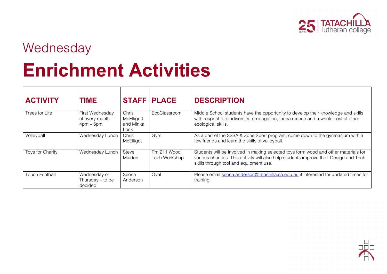

#### **Wednesday**

## **Enrichment Activities**

| <b>ACTIVITY</b>         | <b>TIME</b>                                          |                                          | <b>STAFF   PLACE</b>         | <b>DESCRIPTION</b>                                                                                                                                                                                                      |
|-------------------------|------------------------------------------------------|------------------------------------------|------------------------------|-------------------------------------------------------------------------------------------------------------------------------------------------------------------------------------------------------------------------|
| Trees for Life          | First Wednesday<br>of every month<br>$4$ pm – $5$ pm | Chris<br>McElligott<br>and Minka<br>Lock | EcoClassroom                 | Middle School students have the opportunity to develop their knowledge and skills<br>with respect to biodiversity, propagation, fauna rescue and a whole host of other<br>ecological skills.                            |
| Volleyball              | Wednesday Lunch                                      | Chris<br>McElligot                       | Gym                          | As a part of the SSSA & Zone Sport program, come down to the gymnasium with a<br>few friends and learn the skills of volleyball.                                                                                        |
| <b>Toys for Charity</b> | Wednesday Lunch                                      | Steve<br>Maiden                          | Rm 211 Wood<br>Tech Workshop | Students will be involved in making selected toys form wood and other materials for<br>various charities. This activity will also help students improve their Design and Tech<br>skills through tool and equipment use. |
| <b>Touch Football</b>   | Wednesday or<br>Thursday $-$ to be<br>decided        | Seona<br>Anderson                        | Oval                         | Please email seona.anderson@tatachilla.sa.edu.au if interested for updated times for<br>training.                                                                                                                       |

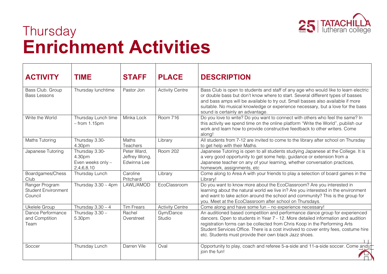

### **Thursday Enrichment Activities**

| <b>ACTIVITY</b>                                         | <b>TIME</b>                                                 | <b>STAFF</b>                                | <b>PLACE</b>           | <b>DESCRIPTION</b>                                                                                                                                                                                                                                                                                                                                                                             |
|---------------------------------------------------------|-------------------------------------------------------------|---------------------------------------------|------------------------|------------------------------------------------------------------------------------------------------------------------------------------------------------------------------------------------------------------------------------------------------------------------------------------------------------------------------------------------------------------------------------------------|
| Bass Club. Group<br><b>Bass Lessons</b>                 | Thursday lunchtime                                          | Pastor Jon                                  | <b>Activity Centre</b> | Bass Club is open to students and staff of any age who would like to learn electric<br>or double bass but don't know where to start. Several different types of basses<br>and bass amps will be available to try out. Small basses also available if more<br>suitable. No musical knowledge or experience necessary, but a love for the bass<br>sound is certainly an advantage.               |
| Write the World                                         | Thursday Lunch time<br>$-$ from 1.15pm                      | Minka Lock                                  | <b>Room 716</b>        | Do you love to write? Do you want to connect with others who feel the same? In<br>this activity we spend time on the online platform "Write the World", publish our<br>work and learn how to provide constructive feedback to other writers. Come<br>along!                                                                                                                                    |
| <b>Maths Tutoring</b>                                   | Thursday 3.30-<br>4.30pm                                    | Maths<br>Teachers                           | Library                | All students from 7-12 are invited to come to the library after school on Thursday<br>to get help with their Maths.                                                                                                                                                                                                                                                                            |
| Japanese Tutoring                                       | Thursday 3.30-<br>4.30pm<br>Even weeks only -<br>2,4,6,8,10 | Peter Ward,<br>Jeffrey Wong,<br>Edwinna Lee | <b>Room 202</b>        | Japanese Tutoring is open to all students studying Japanese at the College. It is<br>a very good opportunity to get some help, guidance or extension from a<br>Japanese teacher on any of your learning, whether conversation practices,<br>homework, assignments, etc.                                                                                                                        |
| Boardgames/Chess<br>Club                                | Thursday Lunch                                              | Caroline<br>Pritchard                       | Library                | Come along to Area A with your friends to play a selection of board games in the<br>Library!                                                                                                                                                                                                                                                                                                   |
| Ranger Program<br><b>Student Environment</b><br>Council | Thursday $3.30 - 4$ pm                                      | LAWL/AMOD                                   | EcoClassroom           | Do you want to know more about the EcoClassroom? Are you interested in<br>learning about the natural world we live in? Are you interested in the environment<br>and want to take action around the school and community? This is the group for<br>you. Meet at the EcoClassroom after school on Thursdays.                                                                                     |
| Ukelele Group                                           | Thursday $3.30 - 4$                                         | <b>Tim Frears</b>                           | <b>Activity Centre</b> | Come along and have some fun - no experience necessary!                                                                                                                                                                                                                                                                                                                                        |
| Dance Performance<br>and Comptition<br>Team             | Thursday 3.30 -<br>5.30pm                                   | Rachel<br>Overstreet                        | Gym/Dance<br>Studio    | An auditioned based competition and performance dance group for experienced<br>dancers. Open to students in Year 7 - 12. More detailed information and audition<br>registration forms can be collected from Chris Koop in the Performing Arts<br>Student Services Office. There is a cost involved to cover entry fees, costume hire<br>etc. Students must provide their own black Jazz shoes. |
| Soccer                                                  | Thursday Lunch                                              | Darren Vile                                 | Oval                   | Opportunity to play, coach and referee 5-a-side and 11-a-side soccer. Come and j<br>join the fun!                                                                                                                                                                                                                                                                                              |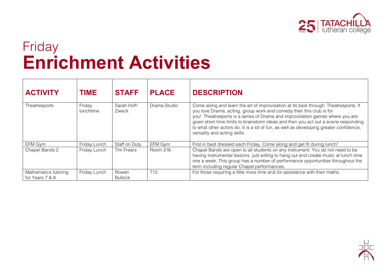

### Friday **Enrichment Activities**

| <b>ACTIVITY</b>                         | <b>TIME</b>                | <b>STAFF</b>            | <b>PLACE</b> | <b>DESCRIPTION</b>                                                                                                                                                                                                                                                                                                                                                                                                                                           |
|-----------------------------------------|----------------------------|-------------------------|--------------|--------------------------------------------------------------------------------------------------------------------------------------------------------------------------------------------------------------------------------------------------------------------------------------------------------------------------------------------------------------------------------------------------------------------------------------------------------------|
| Theatresports                           | Friday<br><b>lunchtime</b> | Sarah Hoff-<br>Zweck    | Drama Studio | Come along and learn the art of improvisation at its best through Theatresports. If<br>you love Drama, acting, group work and comedy then this club is for<br>you! Theatresports is a series of Drama and improvisation games where you are<br>given short time limits to brainstorm ideas and then you act out a scene responding<br>to what other actors do. It is a lot of fun, as well as developing greater confidence,<br>versality and acting skills. |
| EFM Gym                                 | Friday Lunch               | Staff on Duty           | EFM Gym      | First in best dressed each Friday. Come along and get fit during lunch!                                                                                                                                                                                                                                                                                                                                                                                      |
| Chapel Bands 2                          | Friday Lunch               | <b>Tim Frears</b>       | Room 316     | Chapel Bands are open to all students on any instrument. You do not need to be<br>having instrumental lessons, just willing to hang out and create music at lunch time<br>one a week. This group has a number of performance opportunities throughout the<br>term including regular Chapel performances.                                                                                                                                                     |
| Mathematics tutoring<br>for Years 7 & 8 | Friday Lunch               | Rowan<br><b>Bullock</b> | 715          | For those requiring a little more time and /or assistance with their maths.                                                                                                                                                                                                                                                                                                                                                                                  |